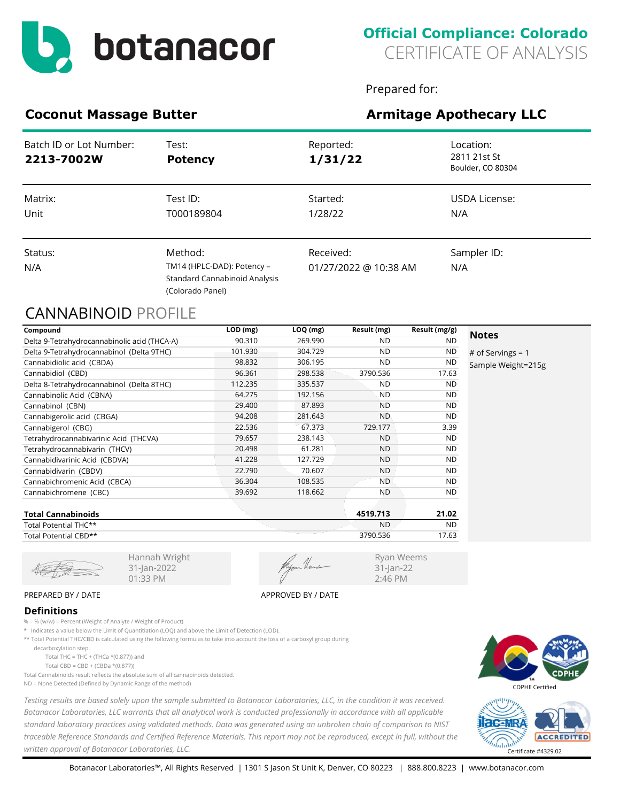

Prepared for:

Ryan Weems 31-Jan-22 2:46 PM

# **Coconut Massage Butter <b>Armitage Apothecary LLC**

| Batch ID or Lot Number:<br>2213-7002W | Test:<br><b>Potency</b>                                                                    | Reported:<br>1/31/22               | Location:<br>2811 21st St<br>Boulder, CO 80304 |
|---------------------------------------|--------------------------------------------------------------------------------------------|------------------------------------|------------------------------------------------|
| Matrix:<br>Unit                       | Test ID:<br>T000189804                                                                     | Started:<br>1/28/22                | USDA License:<br>N/A                           |
| Status:<br>N/A                        | Method:<br>TM14 (HPLC-DAD): Potency -<br>Standard Cannabinoid Analysis<br>(Colorado Panel) | Received:<br>01/27/2022 @ 10:38 AM | Sampler ID:<br>N/A                             |

## CANNABINOID PROFILE

| Compound                                     | LOD (mg) | LOQ (mg) | Result (mg) | Result (mg/g) |                     |
|----------------------------------------------|----------|----------|-------------|---------------|---------------------|
| Delta 9-Tetrahydrocannabinolic acid (THCA-A) | 90.310   | 269.990  | ND.         | <b>ND</b>     | <b>Notes</b>        |
| Delta 9-Tetrahydrocannabinol (Delta 9THC)    | 101.930  | 304.729  | <b>ND</b>   | <b>ND</b>     | # of Servings = $1$ |
| Cannabidiolic acid (CBDA)                    | 98.832   | 306.195  | <b>ND</b>   | <b>ND</b>     | Sample Weight=215g  |
| Cannabidiol (CBD)                            | 96.361   | 298.538  | 3790.536    | 17.63         |                     |
| Delta 8-Tetrahydrocannabinol (Delta 8THC)    | 112.235  | 335.537  | <b>ND</b>   | ND.           |                     |
| Cannabinolic Acid (CBNA)                     | 64.275   | 192.156  | <b>ND</b>   | <b>ND</b>     |                     |
| Cannabinol (CBN)                             | 29.400   | 87.893   | <b>ND</b>   | <b>ND</b>     |                     |
| Cannabigerolic acid (CBGA)                   | 94.208   | 281.643  | <b>ND</b>   | <b>ND</b>     |                     |
| Cannabigerol (CBG)                           | 22.536   | 67.373   | 729.177     | 3.39          |                     |
| Tetrahydrocannabivarinic Acid (THCVA)        | 79.657   | 238.143  | <b>ND</b>   | ND.           |                     |
| Tetrahydrocannabivarin (THCV)                | 20.498   | 61.281   | <b>ND</b>   | <b>ND</b>     |                     |
| Cannabidivarinic Acid (CBDVA)                | 41.228   | 127.729  | <b>ND</b>   | <b>ND</b>     |                     |
| Cannabidivarin (CBDV)                        | 22.790   | 70.607   | <b>ND</b>   | <b>ND</b>     |                     |
| Cannabichromenic Acid (CBCA)                 | 36.304   | 108.535  | ND.         | <b>ND</b>     |                     |
| Cannabichromene (CBC)                        | 39.692   | 118.662  | <b>ND</b>   | ND.           |                     |
| <b>Total Cannabinoids</b>                    |          |          | 4519.713    | 21.02         |                     |

| Total Cannabinoids    | 4519.713  | 21.UZ     |
|-----------------------|-----------|-----------|
| Total Potential THC** | <b>ND</b> | <b>ND</b> |
| Total Potential CBD** | 3790.536  | 17.63     |
|                       |           |           |

31-Jan-2022 01:33 PM

### PREPARED BY / DATE APPROVED BY / DATE

#### **Definitions**

% = % (w/w) = Percent (Weight of Analyte / Weight of Product)

\* Indicates a value below the Limit of Quantitiation (LOQ) and above the Limit of Detection (LOD).

Hannah Wright

\*\* Total Potential THC/CBD is calculated using the following formulas to take into account the loss of a carboxyl group during

decarboxylation step.

Total THC = THC + (THCa  $*(0.877)$ ) and Total CBD = CBD + (CBDa \*(0.877))

Total Cannabinoids result reflects the absolute sum of all cannabinoids detected. ND = None Detected (Defined by Dynamic Range of the method)

*Testing results are based solely upon the sample submitted to Botanacor Laboratories, LLC, in the condition it was received. Botanacor Laboratories, LLC warrants that all analytical work is conducted professionally in accordance with all applicable standard laboratory practices using validated methods. Data was generated using an unbroken chain of comparison to NIST traceable Reference Standards and Certified Reference Materials. This report may not be reproduced, except in full, without the written approval of Botanacor Laboratories, LLC.* Certificate #4329.02